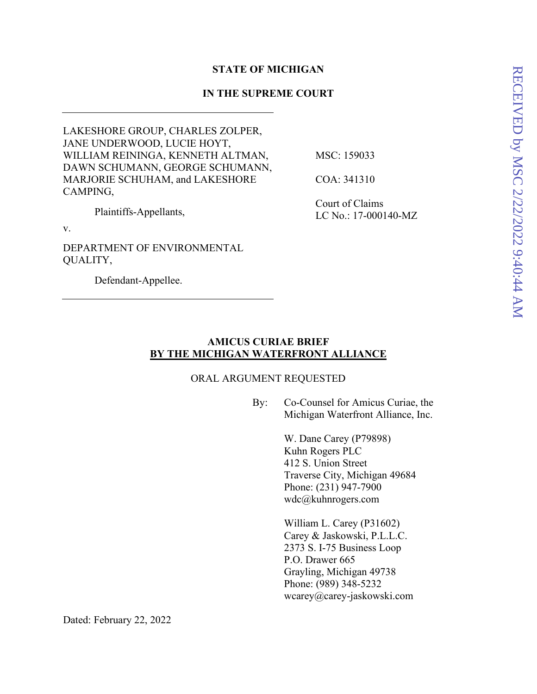## **STATE OF MICHIGAN**

## **IN THE SUPREME COURT**

LAKESHORE GROUP, CHARLES ZOLPER, JANE UNDERWOOD, LUCIE HOYT, WILLIAM REININGA, KENNETH ALTMAN, DAWN SCHUMANN, GEORGE SCHUMANN, MARJORIE SCHUHAM, and LAKESHORE CAMPING, MSC: 159033 COA: 341310

Plaintiffs-Appellants,

Court of Claims LC No.: 17-000140-MZ

v.

DEPARTMENT OF ENVIRONMENTAL QUALITY,

Defendant-Appellee.

## **AMICUS CURIAE BRIEF BY THE MICHIGAN WATERFRONT ALLIANCE**

### ORAL ARGUMENT REQUESTED

By: Co-Counsel for Amicus Curiae, the Michigan Waterfront Alliance, Inc.

> W. Dane Carey (P79898) Kuhn Rogers PLC 412 S. Union Street Traverse City, Michigan 49684 Phone: (231) 947-7900 wdc@kuhnrogers.com

William L. Carey (P31602) Carey & Jaskowski, P.L.L.C. 2373 S. I-75 Business Loop P.O. Drawer 665 Grayling, Michigan 49738 Phone: (989) 348-5232 wcarey@carey-jaskowski.com

Dated: February 22, 2022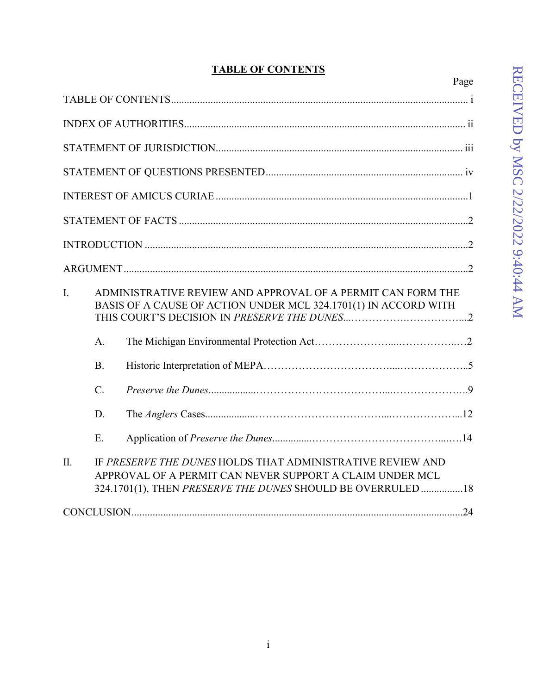# **TABLE OF CONTENTS**

|                                                                                                                                      |                 | Page                                                                                                                   |  |
|--------------------------------------------------------------------------------------------------------------------------------------|-----------------|------------------------------------------------------------------------------------------------------------------------|--|
|                                                                                                                                      |                 |                                                                                                                        |  |
|                                                                                                                                      |                 |                                                                                                                        |  |
|                                                                                                                                      |                 |                                                                                                                        |  |
|                                                                                                                                      |                 |                                                                                                                        |  |
|                                                                                                                                      |                 |                                                                                                                        |  |
|                                                                                                                                      |                 |                                                                                                                        |  |
|                                                                                                                                      |                 |                                                                                                                        |  |
|                                                                                                                                      |                 |                                                                                                                        |  |
| I.<br>ADMINISTRATIVE REVIEW AND APPROVAL OF A PERMIT CAN FORM THE<br>BASIS OF A CAUSE OF ACTION UNDER MCL 324.1701(1) IN ACCORD WITH |                 |                                                                                                                        |  |
|                                                                                                                                      | A.              |                                                                                                                        |  |
|                                                                                                                                      | <b>B.</b>       |                                                                                                                        |  |
|                                                                                                                                      | $\mathcal{C}$ . |                                                                                                                        |  |
|                                                                                                                                      | D.              |                                                                                                                        |  |
|                                                                                                                                      | E.              |                                                                                                                        |  |
| $\Pi$ .                                                                                                                              |                 | IF PRESERVE THE DUNES HOLDS THAT ADMINISTRATIVE REVIEW AND<br>APPROVAL OF A PERMIT CAN NEVER SUPPORT A CLAIM UNDER MCL |  |
|                                                                                                                                      |                 | 324.1701(1), THEN PRESERVE THE DUNES SHOULD BE OVERRULED  18                                                           |  |
|                                                                                                                                      |                 |                                                                                                                        |  |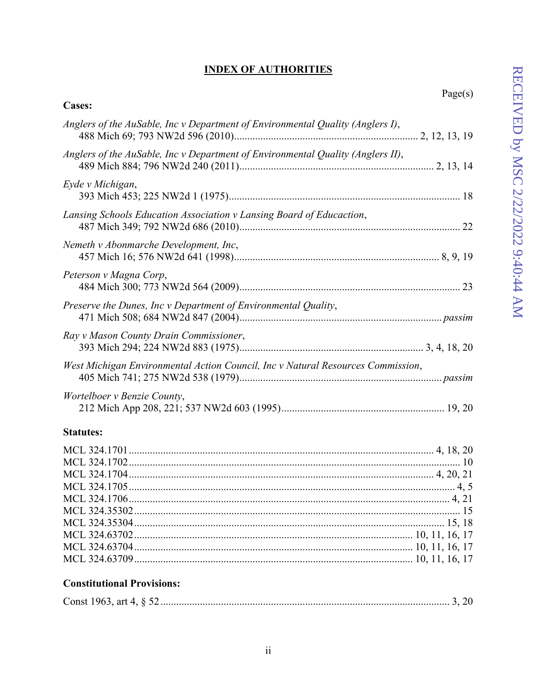## **INDEX OF AUTHORITIES**

| Anglers of the AuSable, Inc v Department of Environmental Quality (Anglers I),  |
|---------------------------------------------------------------------------------|
| Anglers of the AuSable, Inc v Department of Environmental Quality (Anglers II), |
| Eyde v Michigan,                                                                |
| Lansing Schools Education Association v Lansing Board of Educaction,            |
| Nemeth v Abonmarche Development, Inc,                                           |
| Peterson v Magna Corp,                                                          |
| Preserve the Dunes, Inc v Department of Environmental Quality,                  |
| Ray v Mason County Drain Commissioner,                                          |
| West Michigan Environmental Action Council, Inc v Natural Resources Commission, |
| Wortelboer v Benzie County,                                                     |
| <b>Statutes:</b>                                                                |

## **Constitutional Provisions:**

**Cases:**

|--|--|--|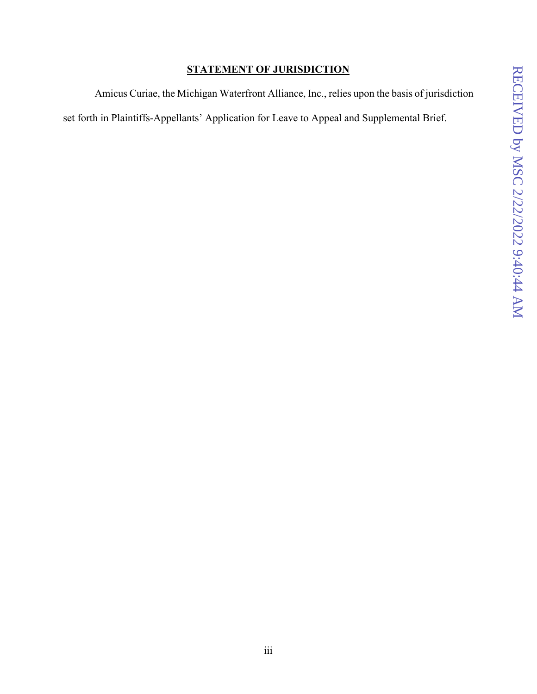## **STATEMENT OF JURISDICTION**

Amicus Curiae, the Michigan Waterfront Alliance, Inc., relies upon the basis of jurisdiction set forth in Plaintiffs-Appellants' Application for Leave to Appeal and Supplemental Brief.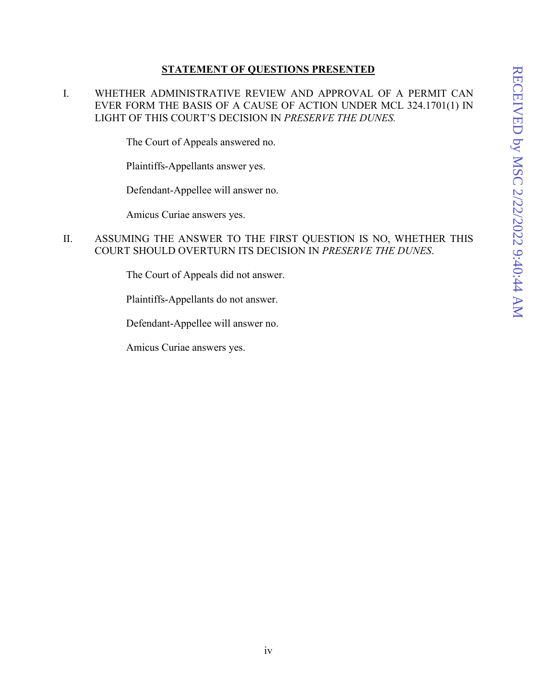## **STATEMENT OF QUESTIONS PRESENTED**

I. WHETHER ADMINISTRATIVE REVIEW AND APPROVAL OF A PERMIT CAN EVER FORM THE BASIS OF A CAUSE OF ACTION UNDER MCL 324.1701(1) IN LIGHT OF THIS COURT'S DECISION IN *PRESERVE THE DUNES.*

The Court of Appeals answered no.

Plaintiffs-Appellants answer yes.

Defendant-Appellee will answer no.

Amicus Curiae answers yes.

## II. ASSUMING THE ANSWER TO THE FIRST QUESTION IS NO, WHETHER THIS COURT SHOULD OVERTURN ITS DECISION IN *PRESERVE THE DUNES*.

The Court of Appeals did not answer.

Plaintiffs-Appellants do not answer.

Defendant-Appellee will answer no.

Amicus Curiae answers yes.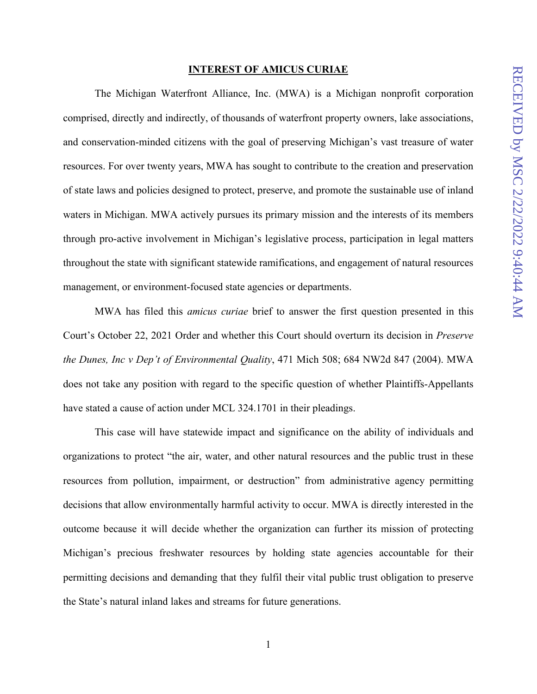#### **INTEREST OF AMICUS CURIAE**

The Michigan Waterfront Alliance, Inc. (MWA) is a Michigan nonprofit corporation comprised, directly and indirectly, of thousands of waterfront property owners, lake associations, and conservation-minded citizens with the goal of preserving Michigan's vast treasure of water resources. For over twenty years, MWA has sought to contribute to the creation and preservation of state laws and policies designed to protect, preserve, and promote the sustainable use of inland waters in Michigan. MWA actively pursues its primary mission and the interests of its members through pro-active involvement in Michigan's legislative process, participation in legal matters throughout the state with significant statewide ramifications, and engagement of natural resources management, or environment-focused state agencies or departments.

MWA has filed this *amicus curiae* brief to answer the first question presented in this Court's October 22, 2021 Order and whether this Court should overturn its decision in *Preserve the Dunes, Inc v Dep't of Environmental Quality*, 471 Mich 508; 684 NW2d 847 (2004). MWA does not take any position with regard to the specific question of whether Plaintiffs-Appellants have stated a cause of action under MCL 324.1701 in their pleadings.

This case will have statewide impact and significance on the ability of individuals and organizations to protect "the air, water, and other natural resources and the public trust in these resources from pollution, impairment, or destruction" from administrative agency permitting decisions that allow environmentally harmful activity to occur. MWA is directly interested in the outcome because it will decide whether the organization can further its mission of protecting Michigan's precious freshwater resources by holding state agencies accountable for their permitting decisions and demanding that they fulfil their vital public trust obligation to preserve the State's natural inland lakes and streams for future generations.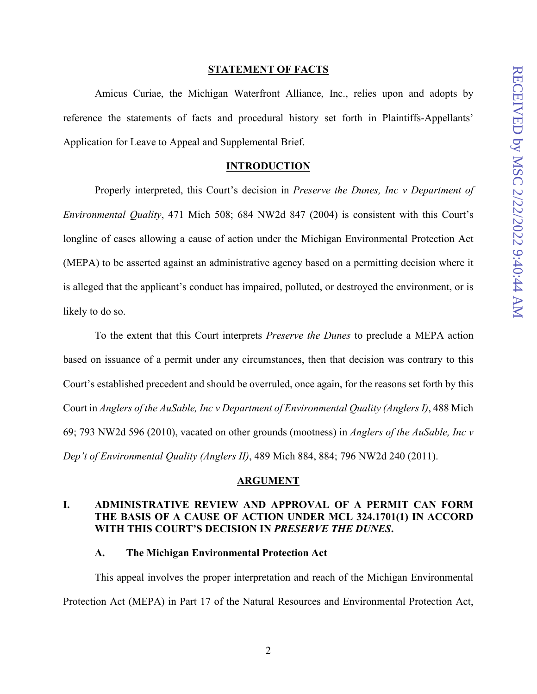#### **STATEMENT OF FACTS**

Amicus Curiae, the Michigan Waterfront Alliance, Inc., relies upon and adopts by reference the statements of facts and procedural history set forth in Plaintiffs-Appellants' Application for Leave to Appeal and Supplemental Brief.

#### **INTRODUCTION**

Properly interpreted, this Court's decision in *Preserve the Dunes, Inc v Department of Environmental Quality*, 471 Mich 508; 684 NW2d 847 (2004) is consistent with this Court's longline of cases allowing a cause of action under the Michigan Environmental Protection Act (MEPA) to be asserted against an administrative agency based on a permitting decision where it is alleged that the applicant's conduct has impaired, polluted, or destroyed the environment, or is likely to do so.

To the extent that this Court interprets *Preserve the Dunes* to preclude a MEPA action based on issuance of a permit under any circumstances, then that decision was contrary to this Court's established precedent and should be overruled, once again, for the reasons set forth by this Court in *Anglers of the AuSable, Inc v Department of Environmental Quality (Anglers I)*, 488 Mich 69; 793 NW2d 596 (2010), vacated on other grounds (mootness) in *Anglers of the AuSable, Inc v Dep't of Environmental Quality (Anglers II)*, 489 Mich 884, 884; 796 NW2d 240 (2011).

#### **ARGUMENT**

## **I. ADMINISTRATIVE REVIEW AND APPROVAL OF A PERMIT CAN FORM THE BASIS OF A CAUSE OF ACTION UNDER MCL 324.1701(1) IN ACCORD WITH THIS COURT'S DECISION IN** *PRESERVE THE DUNES***.**

#### **A. The Michigan Environmental Protection Act**

This appeal involves the proper interpretation and reach of the Michigan Environmental Protection Act (MEPA) in Part 17 of the Natural Resources and Environmental Protection Act,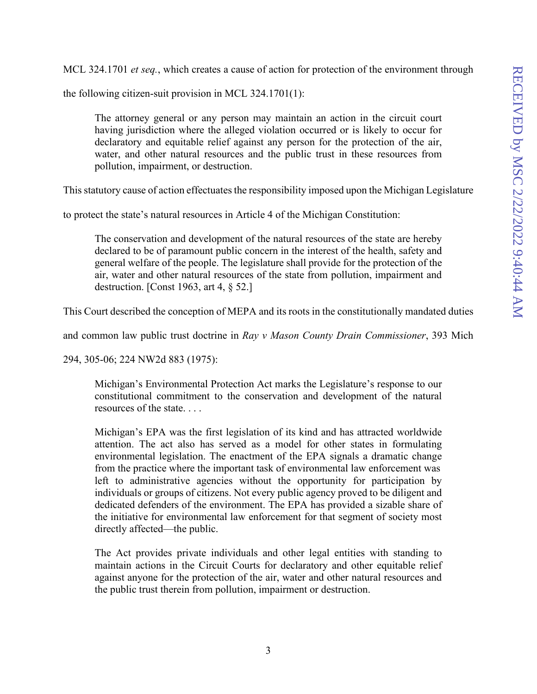MCL 324.1701 *et seq.*, which creates a cause of action for protection of the environment through

the following citizen-suit provision in MCL 324.1701(1):

The attorney general or any person may maintain an action in the circuit court having jurisdiction where the alleged violation occurred or is likely to occur for declaratory and equitable relief against any person for the protection of the air, water, and other natural resources and the public trust in these resources from pollution, impairment, or destruction.

This statutory cause of action effectuates the responsibility imposed upon the Michigan Legislature

to protect the state's natural resources in Article 4 of the Michigan Constitution:

The conservation and development of the natural resources of the state are hereby declared to be of paramount public concern in the interest of the health, safety and general welfare of the people. The legislature shall provide for the protection of the air, water and other natural resources of the state from pollution, impairment and destruction. [Const 1963, art 4, § 52.]

This Court described the conception of MEPA and its roots in the constitutionally mandated duties

and common law public trust doctrine in *Ray v Mason County Drain Commissioner*, 393 Mich

294, 305-06; 224 NW2d 883 (1975):

Michigan's Environmental Protection Act marks the Legislature's response to our constitutional commitment to the conservation and development of the natural resources of the state. . . .

Michigan's EPA was the first legislation of its kind and has attracted worldwide attention. The act also has served as a model for other states in formulating environmental legislation. The enactment of the EPA signals a dramatic change from the practice where the important task of environmental law enforcement was left to administrative agencies without the opportunity for participation by individuals or groups of citizens. Not every public agency proved to be diligent and dedicated defenders of the environment. The EPA has provided a sizable share of the initiative for environmental law enforcement for that segment of society most directly affected—the public.

The Act provides private individuals and other legal entities with standing to maintain actions in the Circuit Courts for declaratory and other equitable relief against anyone for the protection of the air, water and other natural resources and the public trust therein from pollution, impairment or destruction.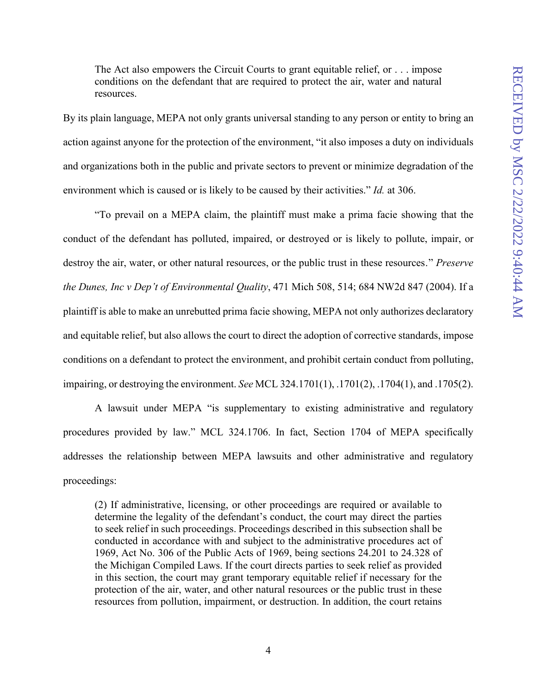The Act also empowers the Circuit Courts to grant equitable relief, or . . . impose conditions on the defendant that are required to protect the air, water and natural resources.

By its plain language, MEPA not only grants universal standing to any person or entity to bring an action against anyone for the protection of the environment, "it also imposes a duty on individuals and organizations both in the public and private sectors to prevent or minimize degradation of the environment which is caused or is likely to be caused by their activities." *Id.* at 306.

"To prevail on a MEPA claim, the plaintiff must make a prima facie showing that the conduct of the defendant has polluted, impaired, or destroyed or is likely to pollute, impair, or destroy the air, water, or other natural resources, or the public trust in these resources․" *Preserve the Dunes, Inc v Dep't of Environmental Quality*, 471 Mich 508, 514; 684 NW2d 847 (2004). If a plaintiff is able to make an unrebutted prima facie showing, MEPA not only authorizes declaratory and equitable relief, but also allows the court to direct the adoption of corrective standards, impose conditions on a defendant to protect the environment, and prohibit certain conduct from polluting, impairing, or destroying the environment. *See* MCL 324.1701(1), .1701(2), .1704(1), and .1705(2).

A lawsuit under MEPA "is supplementary to existing administrative and regulatory procedures provided by law." MCL 324.1706. In fact, Section 1704 of MEPA specifically addresses the relationship between MEPA lawsuits and other administrative and regulatory proceedings:

(2) If administrative, licensing, or other proceedings are required or available to determine the legality of the defendant's conduct, the court may direct the parties to seek relief in such proceedings. Proceedings described in this subsection shall be conducted in accordance with and subject to the administrative procedures act of 1969, Act No. 306 of the Public Acts of 1969, being sections 24.201 to 24.328 of the Michigan Compiled Laws. If the court directs parties to seek relief as provided in this section, the court may grant temporary equitable relief if necessary for the protection of the air, water, and other natural resources or the public trust in these resources from pollution, impairment, or destruction. In addition, the court retains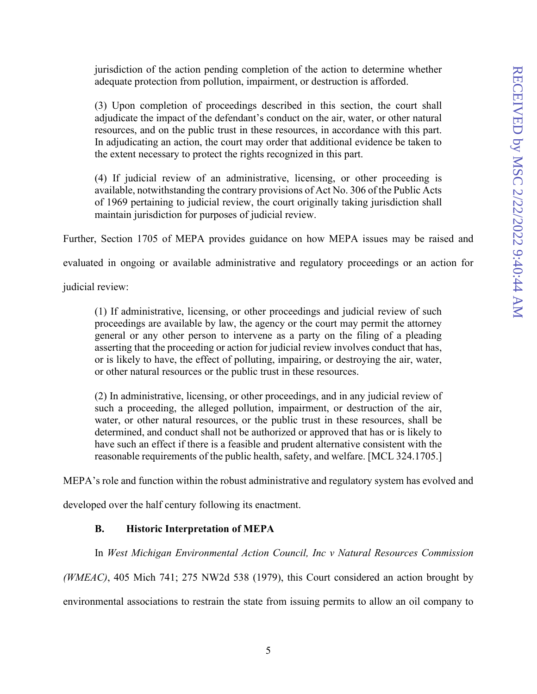jurisdiction of the action pending completion of the action to determine whether adequate protection from pollution, impairment, or destruction is afforded.

(3) Upon completion of proceedings described in this section, the court shall adjudicate the impact of the defendant's conduct on the air, water, or other natural resources, and on the public trust in these resources, in accordance with this part. In adjudicating an action, the court may order that additional evidence be taken to the extent necessary to protect the rights recognized in this part.

(4) If judicial review of an administrative, licensing, or other proceeding is available, notwithstanding the contrary provisions of Act No. 306 of the Public Acts of 1969 pertaining to judicial review, the court originally taking jurisdiction shall maintain jurisdiction for purposes of judicial review.

Further, Section 1705 of MEPA provides guidance on how MEPA issues may be raised and

evaluated in ongoing or available administrative and regulatory proceedings or an action for

judicial review:

(1) If administrative, licensing, or other proceedings and judicial review of such proceedings are available by law, the agency or the court may permit the attorney general or any other person to intervene as a party on the filing of a pleading asserting that the proceeding or action for judicial review involves conduct that has, or is likely to have, the effect of polluting, impairing, or destroying the air, water, or other natural resources or the public trust in these resources.

(2) In administrative, licensing, or other proceedings, and in any judicial review of such a proceeding, the alleged pollution, impairment, or destruction of the air, water, or other natural resources, or the public trust in these resources, shall be determined, and conduct shall not be authorized or approved that has or is likely to have such an effect if there is a feasible and prudent alternative consistent with the reasonable requirements of the public health, safety, and welfare. [MCL 324.1705.]

MEPA's role and function within the robust administrative and regulatory system has evolved and

developed over the half century following its enactment.

## **B. Historic Interpretation of MEPA**

In *West Michigan Environmental Action Council, Inc v Natural Resources Commission*

*(WMEAC)*, 405 Mich 741; 275 NW2d 538 (1979), this Court considered an action brought by environmental associations to restrain the state from issuing permits to allow an oil company to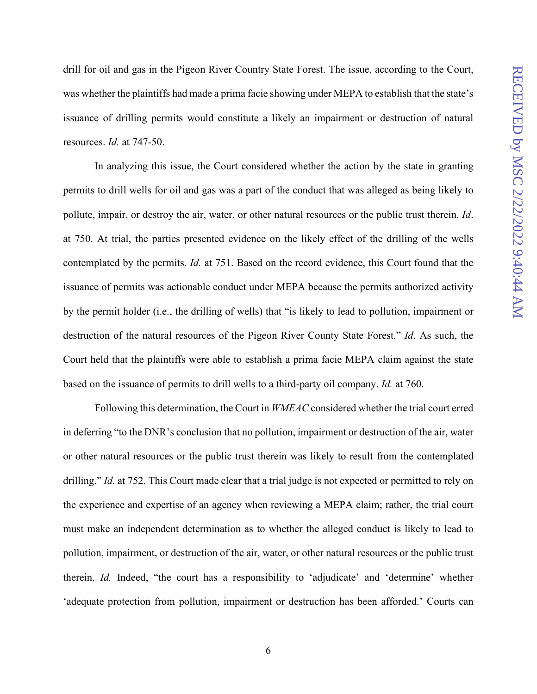drill for oil and gas in the Pigeon River Country State Forest. The issue, according to the Court, was whether the plaintiffs had made a prima facie showing under MEPA to establish that the state's issuance of drilling permits would constitute a likely an impairment or destruction of natural resources. *Id.* at 747-50.

In analyzing this issue, the Court considered whether the action by the state in granting permits to drill wells for oil and gas was a part of the conduct that was alleged as being likely to pollute, impair, or destroy the air, water, or other natural resources or the public trust therein. *Id*. at 750. At trial, the parties presented evidence on the likely effect of the drilling of the wells contemplated by the permits. *Id.* at 751. Based on the record evidence, this Court found that the issuance of permits was actionable conduct under MEPA because the permits authorized activity by the permit holder (i.e., the drilling of wells) that "is likely to lead to pollution, impairment or destruction of the natural resources of the Pigeon River County State Forest." *Id*. As such, the Court held that the plaintiffs were able to establish a prima facie MEPA claim against the state based on the issuance of permits to drill wells to a third-party oil company. *Id.* at 760.

Following this determination, the Court in *WMEAC* considered whether the trial court erred in deferring "to the DNR's conclusion that no pollution, impairment or destruction of the air, water or other natural resources or the public trust therein was likely to result from the contemplated drilling." *Id.* at 752. This Court made clear that a trial judge is not expected or permitted to rely on the experience and expertise of an agency when reviewing a MEPA claim; rather, the trial court must make an independent determination as to whether the alleged conduct is likely to lead to pollution, impairment, or destruction of the air, water, or other natural resources or the public trust therein. *Id.* Indeed, "the court has a responsibility to 'adjudicate' and 'determine' whether 'adequate protection from pollution, impairment or destruction has been afforded.' Courts can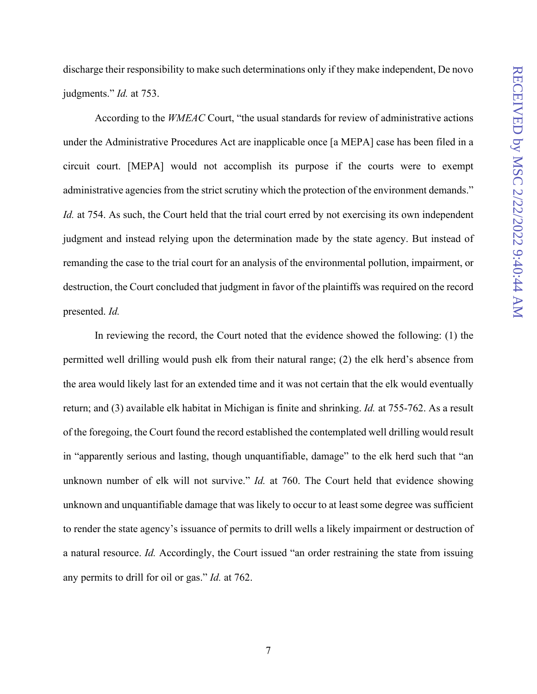discharge their responsibility to make such determinations only if they make independent, De novo judgments." *Id.* at 753.

According to the *WMEAC* Court, "the usual standards for review of administrative actions under the Administrative Procedures Act are inapplicable once [a MEPA] case has been filed in a circuit court. [MEPA] would not accomplish its purpose if the courts were to exempt administrative agencies from the strict scrutiny which the protection of the environment demands." *Id.* at 754. As such, the Court held that the trial court erred by not exercising its own independent judgment and instead relying upon the determination made by the state agency. But instead of remanding the case to the trial court for an analysis of the environmental pollution, impairment, or destruction, the Court concluded that judgment in favor of the plaintiffs was required on the record presented. *Id.*

In reviewing the record, the Court noted that the evidence showed the following: (1) the permitted well drilling would push elk from their natural range; (2) the elk herd's absence from the area would likely last for an extended time and it was not certain that the elk would eventually return; and (3) available elk habitat in Michigan is finite and shrinking. *Id.* at 755-762. As a result of the foregoing, the Court found the record established the contemplated well drilling would result in "apparently serious and lasting, though unquantifiable, damage" to the elk herd such that "an unknown number of elk will not survive." *Id.* at 760. The Court held that evidence showing unknown and unquantifiable damage that was likely to occur to at least some degree was sufficient to render the state agency's issuance of permits to drill wells a likely impairment or destruction of a natural resource. *Id.* Accordingly, the Court issued "an order restraining the state from issuing any permits to drill for oil or gas." *Id.* at 762.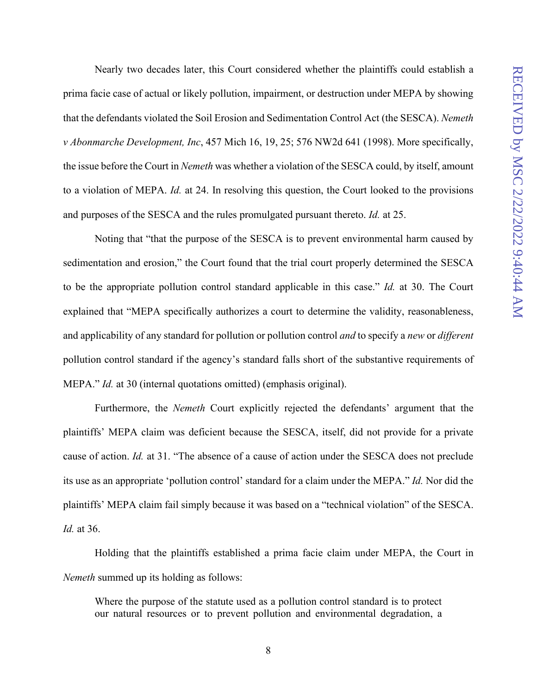Nearly two decades later, this Court considered whether the plaintiffs could establish a prima facie case of actual or likely pollution, impairment, or destruction under MEPA by showing that the defendants violated the Soil Erosion and Sedimentation Control Act (the SESCA). *Nemeth v Abonmarche Development, Inc*, 457 Mich 16, 19, 25; 576 NW2d 641 (1998). More specifically, the issue before the Court in *Nemeth* was whether a violation of the SESCA could, by itself, amount to a violation of MEPA. *Id.* at 24. In resolving this question, the Court looked to the provisions and purposes of the SESCA and the rules promulgated pursuant thereto. *Id.* at 25.

Noting that "that the purpose of the SESCA is to prevent environmental harm caused by sedimentation and erosion," the Court found that the trial court properly determined the SESCA to be the appropriate pollution control standard applicable in this case." *Id.* at 30. The Court explained that "MEPA specifically authorizes a court to determine the validity, reasonableness, and applicability of any standard for pollution or pollution control *and* to specify a *new* or *different*  pollution control standard if the agency's standard falls short of the substantive requirements of MEPA." *Id.* at 30 (internal quotations omitted) (emphasis original).

Furthermore, the *Nemeth* Court explicitly rejected the defendants' argument that the plaintiffs' MEPA claim was deficient because the SESCA, itself, did not provide for a private cause of action. *Id.* at 31. "The absence of a cause of action under the SESCA does not preclude its use as an appropriate 'pollution control' standard for a claim under the MEPA." *Id.* Nor did the plaintiffs' MEPA claim fail simply because it was based on a "technical violation" of the SESCA. *Id.* at 36.

Holding that the plaintiffs established a prima facie claim under MEPA, the Court in *Nemeth* summed up its holding as follows:

Where the purpose of the statute used as a pollution control standard is to protect our natural resources or to prevent pollution and environmental degradation, a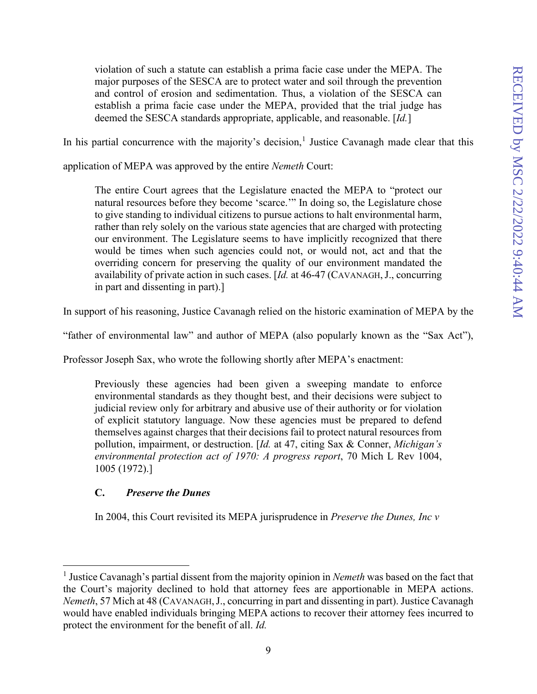violation of such a statute can establish a prima facie case under the MEPA. The major purposes of the SESCA are to protect water and soil through the prevention and control of erosion and sedimentation. Thus, a violation of the SESCA can establish a prima facie case under the MEPA, provided that the trial judge has deemed the SESCA standards appropriate, applicable, and reasonable. [*Id.*]

In his partial concurrence with the majority's decision,<sup>[1](#page-13-0)</sup> Justice Cavanagh made clear that this

application of MEPA was approved by the entire *Nemeth* Court:

The entire Court agrees that the Legislature enacted the MEPA to "protect our natural resources before they become 'scarce.'" In doing so, the Legislature chose to give standing to individual citizens to pursue actions to halt environmental harm, rather than rely solely on the various state agencies that are charged with protecting our environment. The Legislature seems to have implicitly recognized that there would be times when such agencies could not, or would not, act and that the overriding concern for preserving the quality of our environment mandated the availability of private action in such cases. [*Id.* at 46-47 (CAVANAGH,J., concurring in part and dissenting in part).]

In support of his reasoning, Justice Cavanagh relied on the historic examination of MEPA by the

"father of environmental law" and author of MEPA (also popularly known as the "Sax Act"),

Professor Joseph Sax, who wrote the following shortly after MEPA's enactment:

Previously these agencies had been given a sweeping mandate to enforce environmental standards as they thought best, and their decisions were subject to judicial review only for arbitrary and abusive use of their authority or for violation of explicit statutory language. Now these agencies must be prepared to defend themselves against charges that their decisions fail to protect natural resources from pollution, impairment, or destruction. [*Id.* at 47, citing Sax & Conner, *Michigan's environmental protection act of 1970: A progress report*, 70 Mich L Rev 1004, 1005 (1972).]

#### **C.** *Preserve the Dunes*

In 2004, this Court revisited its MEPA jurisprudence in *Preserve the Dunes, Inc v*

<span id="page-13-0"></span><sup>1</sup> Justice Cavanagh's partial dissent from the majority opinion in *Nemeth* was based on the fact that the Court's majority declined to hold that attorney fees are apportionable in MEPA actions. *Nemeth*, 57 Mich at 48 (CAVANAGH,J., concurring in part and dissenting in part). Justice Cavanagh would have enabled individuals bringing MEPA actions to recover their attorney fees incurred to protect the environment for the benefit of all. *Id.*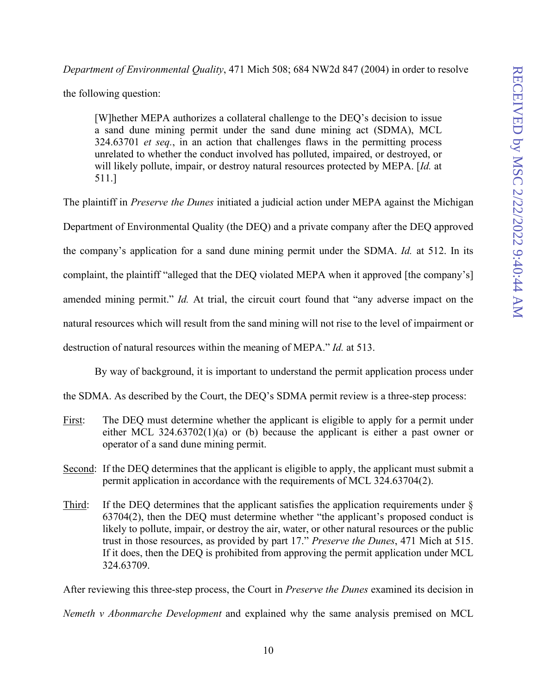*Department of Environmental Quality*, 471 Mich 508; 684 NW2d 847 (2004) in order to resolve the following question:

[W]hether MEPA authorizes a collateral challenge to the DEQ's decision to issue a sand dune mining permit under the sand dune mining act (SDMA), MCL 324.63701 *et seq.*, in an action that challenges flaws in the permitting process unrelated to whether the conduct involved has polluted, impaired, or destroyed, or will likely pollute, impair, or destroy natural resources protected by MEPA. [*Id.* at 511.]

The plaintiff in *Preserve the Dunes* initiated a judicial action under MEPA against the Michigan Department of Environmental Quality (the DEQ) and a private company after the DEQ approved the company's application for a sand dune mining permit under the SDMA. *Id.* at 512. In its complaint, the plaintiff "alleged that the DEQ violated MEPA when it approved [the company's] amended mining permit." *Id.* At trial, the circuit court found that "any adverse impact on the natural resources which will result from the sand mining will not rise to the level of impairment or destruction of natural resources within the meaning of MEPA." *Id.* at 513.

By way of background, it is important to understand the permit application process under

the SDMA. As described by the Court, the DEQ's SDMA permit review is a three-step process:

- First: The DEQ must determine whether the applicant is eligible to apply for a permit under either MCL 324.63702(1)(a) or (b) because the applicant is either a past owner or operator of a sand dune mining permit.
- Second: If the DEQ determines that the applicant is eligible to apply, the applicant must submit a permit application in accordance with the requirements of MCL 324.63704(2).
- Third: If the DEQ determines that the applicant satisfies the application requirements under § 63704(2), then the DEQ must determine whether "the applicant's proposed conduct is likely to pollute, impair, or destroy the air, water, or other natural resources or the public trust in those resources, as provided by part 17." *Preserve the Dunes*, 471 Mich at 515. If it does, then the DEQ is prohibited from approving the permit application under MCL 324.63709.

After reviewing this three-step process, the Court in *Preserve the Dunes* examined its decision in

*Nemeth v Abonmarche Development* and explained why the same analysis premised on MCL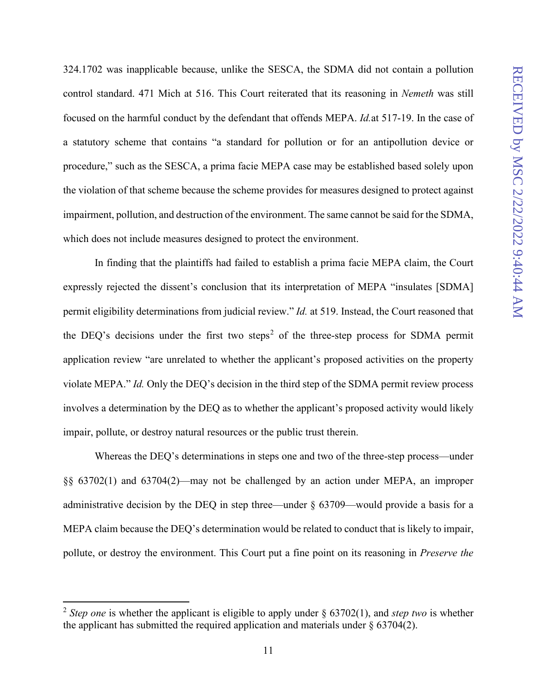324.1702 was inapplicable because, unlike the SESCA, the SDMA did not contain a pollution control standard. 471 Mich at 516. This Court reiterated that its reasoning in *Nemeth* was still focused on the harmful conduct by the defendant that offends MEPA. *Id.*at 517-19. In the case of a statutory scheme that contains "a standard for pollution or for an antipollution device or procedure," such as the SESCA, a prima facie MEPA case may be established based solely upon the violation of that scheme because the scheme provides for measures designed to protect against impairment, pollution, and destruction of the environment. The same cannot be said for the SDMA, which does not include measures designed to protect the environment.

In finding that the plaintiffs had failed to establish a prima facie MEPA claim, the Court expressly rejected the dissent's conclusion that its interpretation of MEPA "insulates [SDMA] permit eligibility determinations from judicial review." *Id.* at 519. Instead, the Court reasoned that the DEQ's decisions under the first two steps<sup>[2](#page-15-0)</sup> of the three-step process for SDMA permit application review "are unrelated to whether the applicant's proposed activities on the property violate MEPA." *Id.* Only the DEQ's decision in the third step of the SDMA permit review process involves a determination by the DEQ as to whether the applicant's proposed activity would likely impair, pollute, or destroy natural resources or the public trust therein.

Whereas the DEQ's determinations in steps one and two of the three-step process—under §§ 63702(1) and 63704(2)—may not be challenged by an action under MEPA, an improper administrative decision by the DEQ in step three—under § 63709—would provide a basis for a MEPA claim because the DEQ's determination would be related to conduct that is likely to impair, pollute, or destroy the environment. This Court put a fine point on its reasoning in *Preserve the* 

<span id="page-15-0"></span><sup>2</sup> *Step one* is whether the applicant is eligible to apply under § 63702(1), and *step two* is whether the applicant has submitted the required application and materials under  $\S$  63704(2).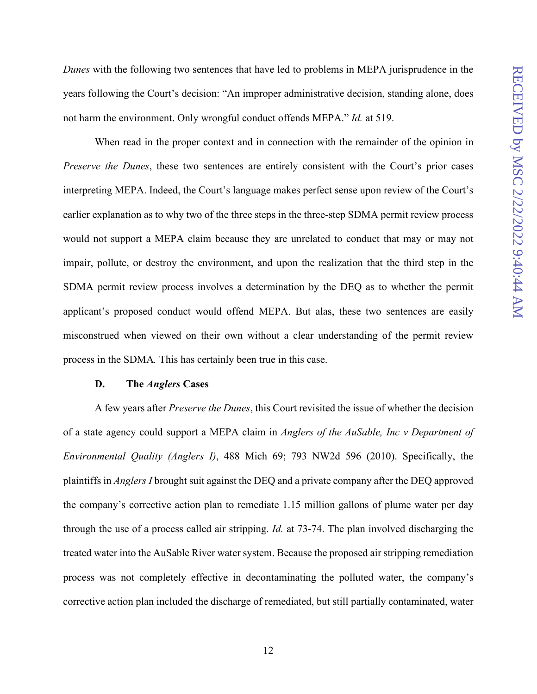*Dunes* with the following two sentences that have led to problems in MEPA jurisprudence in the years following the Court's decision: "An improper administrative decision, standing alone, does not harm the environment. Only wrongful conduct offends MEPA." *Id.* at 519.

When read in the proper context and in connection with the remainder of the opinion in *Preserve the Dunes*, these two sentences are entirely consistent with the Court's prior cases interpreting MEPA. Indeed, the Court's language makes perfect sense upon review of the Court's earlier explanation as to why two of the three steps in the three-step SDMA permit review process would not support a MEPA claim because they are unrelated to conduct that may or may not impair, pollute, or destroy the environment, and upon the realization that the third step in the SDMA permit review process involves a determination by the DEQ as to whether the permit applicant's proposed conduct would offend MEPA. But alas, these two sentences are easily misconstrued when viewed on their own without a clear understanding of the permit review process in the SDMA*.* This has certainly been true in this case.

#### **D. The** *Anglers* **Cases**

A few years after *Preserve the Dunes*, this Court revisited the issue of whether the decision of a state agency could support a MEPA claim in *Anglers of the AuSable, Inc v Department of Environmental Quality (Anglers I)*, 488 Mich 69; 793 NW2d 596 (2010). Specifically, the plaintiffs in *Anglers I* brought suit against the DEQ and a private company after the DEQ approved the company's corrective action plan to remediate 1.15 million gallons of plume water per day through the use of a process called air stripping. *Id.* at 73-74. The plan involved discharging the treated water into the AuSable River water system. Because the proposed air stripping remediation process was not completely effective in decontaminating the polluted water, the company's corrective action plan included the discharge of remediated, but still partially contaminated, water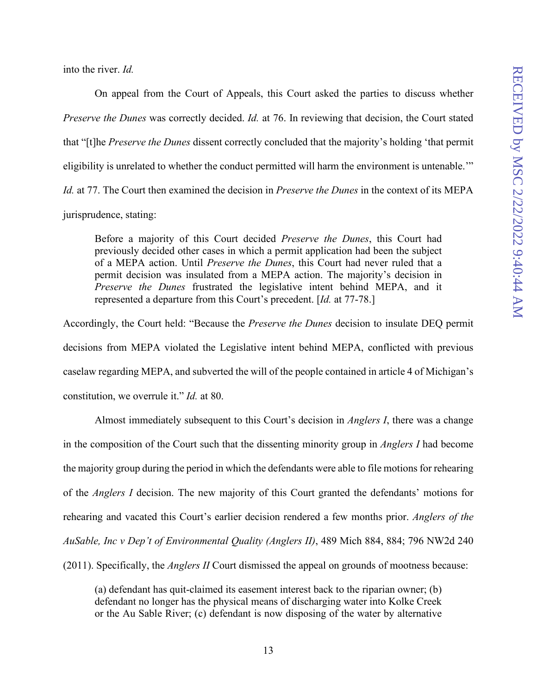into the river. *Id.*

On appeal from the Court of Appeals, this Court asked the parties to discuss whether *Preserve the Dunes* was correctly decided. *Id.* at 76. In reviewing that decision, the Court stated that "[t]he *Preserve the Dunes* dissent correctly concluded that the majority's holding 'that permit eligibility is unrelated to whether the conduct permitted will harm the environment is untenable.'" *Id.* at 77. The Court then examined the decision in *Preserve the Dunes* in the context of its MEPA jurisprudence, stating:

Before a majority of this Court decided *Preserve the Dunes*, this Court had previously decided other cases in which a permit application had been the subject of a MEPA action. Until *Preserve the Dunes*, this Court had never ruled that a permit decision was insulated from a MEPA action. The majority's decision in *Preserve the Dunes* frustrated the legislative intent behind MEPA, and it represented a departure from this Court's precedent. [*Id.* at 77-78.]

Accordingly, the Court held: "Because the *Preserve the Dunes* decision to insulate DEQ permit decisions from MEPA violated the Legislative intent behind MEPA, conflicted with previous caselaw regarding MEPA, and subverted the will of the people contained in article 4 of Michigan's constitution, we overrule it." *Id.* at 80.

Almost immediately subsequent to this Court's decision in *Anglers I*, there was a change in the composition of the Court such that the dissenting minority group in *Anglers I* had become the majority group during the period in which the defendants were able to file motionsfor rehearing of the *Anglers I* decision. The new majority of this Court granted the defendants' motions for rehearing and vacated this Court's earlier decision rendered a few months prior. *Anglers of the AuSable, Inc v Dep't of Environmental Quality (Anglers II)*, 489 Mich 884, 884; 796 NW2d 240 (2011). Specifically, the *Anglers II* Court dismissed the appeal on grounds of mootness because:

(a) defendant has quit-claimed its easement interest back to the riparian owner; (b) defendant no longer has the physical means of discharging water into Kolke Creek or the Au Sable River; (c) defendant is now disposing of the water by alternative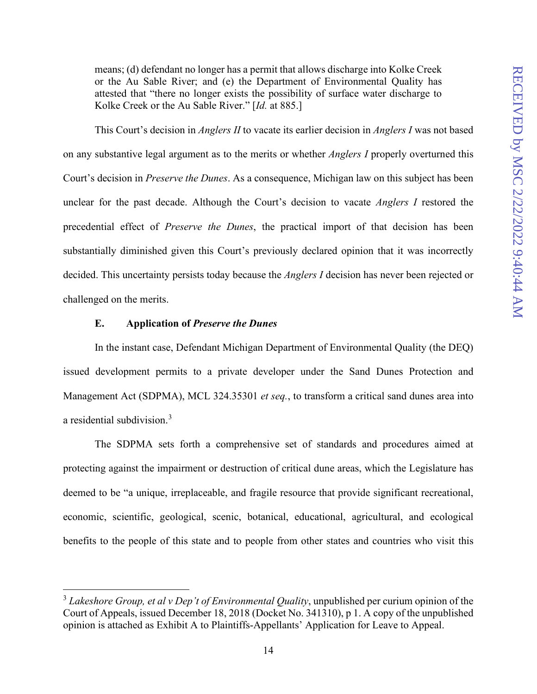means; (d) defendant no longer has a permit that allows discharge into Kolke Creek or the Au Sable River; and (e) the Department of Environmental Quality has attested that "there no longer exists the possibility of surface water discharge to Kolke Creek or the Au Sable River." [*Id.* at 885.]

This Court's decision in *Anglers II* to vacate its earlier decision in *Anglers I* was not based on any substantive legal argument as to the merits or whether *Anglers I* properly overturned this Court's decision in *Preserve the Dunes*. As a consequence, Michigan law on this subject has been unclear for the past decade. Although the Court's decision to vacate *Anglers I* restored the precedential effect of *Preserve the Dunes*, the practical import of that decision has been substantially diminished given this Court's previously declared opinion that it was incorrectly decided. This uncertainty persists today because the *Anglers I* decision has never been rejected or challenged on the merits.

## **E. Application of** *Preserve the Dunes*

In the instant case, Defendant Michigan Department of Environmental Quality (the DEQ) issued development permits to a private developer under the Sand Dunes Protection and Management Act (SDPMA), MCL 324.35301 *et seq.*, to transform a critical sand dunes area into a residential subdivision.<sup>[3](#page-18-0)</sup>

The SDPMA sets forth a comprehensive set of standards and procedures aimed at protecting against the impairment or destruction of critical dune areas, which the Legislature has deemed to be "a unique, irreplaceable, and fragile resource that provide significant recreational, economic, scientific, geological, scenic, botanical, educational, agricultural, and ecological benefits to the people of this state and to people from other states and countries who visit this

<span id="page-18-0"></span><sup>3</sup> *Lakeshore Group, et al v Dep't of Environmental Quality*, unpublished per curium opinion of the Court of Appeals, issued December 18, 2018 (Docket No. 341310), p 1. A copy of the unpublished opinion is attached as Exhibit A to Plaintiffs-Appellants' Application for Leave to Appeal.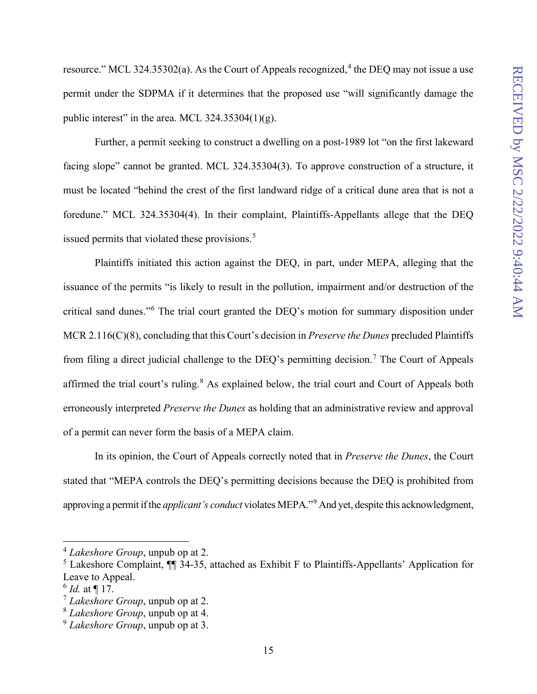resource." MCL 32[4](#page-19-0).35302(a). As the Court of Appeals recognized,  $4$  the DEQ may not issue a use permit under the SDPMA if it determines that the proposed use "will significantly damage the public interest" in the area. MCL  $324.35304(1)(g)$ .

Further, a permit seeking to construct a dwelling on a post-1989 lot "on the first lakeward facing slope" cannot be granted. MCL 324.35304(3). To approve construction of a structure, it must be located "behind the crest of the first landward ridge of a critical dune area that is not a foredune." MCL 324.35304(4). In their complaint, Plaintiffs-Appellants allege that the DEQ issued permits that violated these provisions.<sup>[5](#page-19-1)</sup>

Plaintiffs initiated this action against the DEQ, in part, under MEPA, alleging that the issuance of the permits "is likely to result in the pollution, impairment and/or destruction of the critical sand dunes."[6](#page-19-2) The trial court granted the DEQ's motion for summary disposition under MCR 2.116(C)(8), concluding that this Court's decision in *Preserve the Dunes* precluded Plaintiffs from filing a direct judicial challenge to the DEQ's permitting decision.<sup>[7](#page-19-3)</sup> The Court of Appeals affirmed the trial court's ruling.<sup>[8](#page-19-4)</sup> As explained below, the trial court and Court of Appeals both erroneously interpreted *Preserve the Dunes* as holding that an administrative review and approval of a permit can never form the basis of a MEPA claim.

In its opinion, the Court of Appeals correctly noted that in *Preserve the Dunes*, the Court stated that "MEPA controls the DEQ's permitting decisions because the DEQ is prohibited from approving a permit if the *applicant's conduct* violates MEPA."[9](#page-19-5) And yet, despite this acknowledgment,

<span id="page-19-0"></span><sup>4</sup> *Lakeshore Group*, unpub op at 2.

<span id="page-19-1"></span><sup>5</sup> Lakeshore Complaint, ¶¶ 34-35, attached as Exhibit F to Plaintiffs-Appellants' Application for Leave to Appeal.

<span id="page-19-2"></span> $^{6}$  *Id.* at ¶ 17.

<span id="page-19-3"></span><sup>7</sup> *Lakeshore Group*, unpub op at 2.

<span id="page-19-4"></span><sup>8</sup> *Lakeshore Group*, unpub op at 4.

<span id="page-19-5"></span><sup>9</sup> *Lakeshore Group*, unpub op at 3.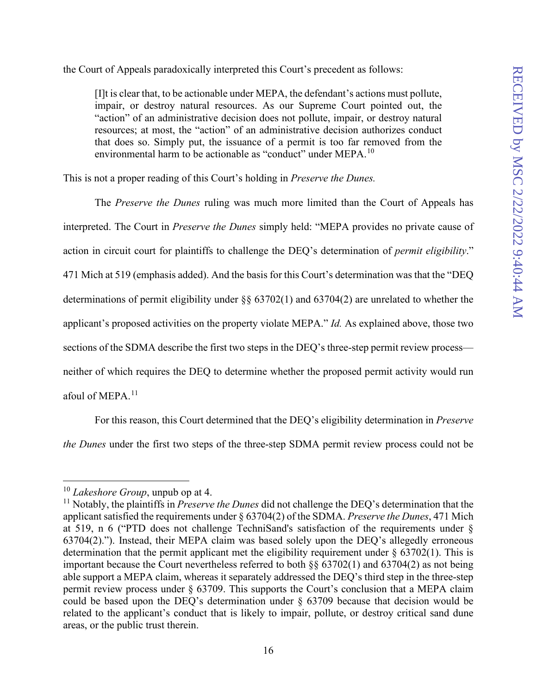the Court of Appeals paradoxically interpreted this Court's precedent as follows:

[I]t is clear that, to be actionable under MEPA, the defendant's actions must pollute, impair, or destroy natural resources. As our Supreme Court pointed out, the "action" of an administrative decision does not pollute, impair, or destroy natural resources; at most, the "action" of an administrative decision authorizes conduct that does so. Simply put, the issuance of a permit is too far removed from the environmental harm to be actionable as "conduct" under MEPA.<sup>[10](#page-20-0)</sup>

This is not a proper reading of this Court's holding in *Preserve the Dunes.*

The *Preserve the Dunes* ruling was much more limited than the Court of Appeals has interpreted. The Court in *Preserve the Dunes* simply held: "MEPA provides no private cause of action in circuit court for plaintiffs to challenge the DEQ's determination of *permit eligibility*." 471 Mich at 519 (emphasis added). And the basis for this Court's determination was that the "DEQ determinations of permit eligibility under §§ 63702(1) and 63704(2) are unrelated to whether the applicant's proposed activities on the property violate MEPA." *Id.* As explained above, those two sections of the SDMA describe the first two steps in the DEQ's three-step permit review process neither of which requires the DEQ to determine whether the proposed permit activity would run afoul of MEPA.<sup>[11](#page-20-1)</sup>

For this reason, this Court determined that the DEQ's eligibility determination in *Preserve the Dunes* under the first two steps of the three-step SDMA permit review process could not be

<span id="page-20-0"></span><sup>10</sup> *Lakeshore Group*, unpub op at 4.

<span id="page-20-1"></span><sup>11</sup> Notably, the plaintiffs in *Preserve the Dunes* did not challenge the DEQ's determination that the applicant satisfied the requirements under § 63704(2) of the SDMA. *Preserve the Dunes*, 471 Mich at 519, n 6 ("PTD does not challenge TechniSand's satisfaction of the requirements under § 63704(2)."). Instead, their MEPA claim was based solely upon the DEQ's allegedly erroneous determination that the permit applicant met the eligibility requirement under  $\S$  63702(1). This is important because the Court nevertheless referred to both §§ 63702(1) and 63704(2) as not being able support a MEPA claim, whereas it separately addressed the DEQ's third step in the three-step permit review process under § 63709. This supports the Court's conclusion that a MEPA claim could be based upon the DEQ's determination under § 63709 because that decision would be related to the applicant's conduct that is likely to impair, pollute, or destroy critical sand dune areas, or the public trust therein.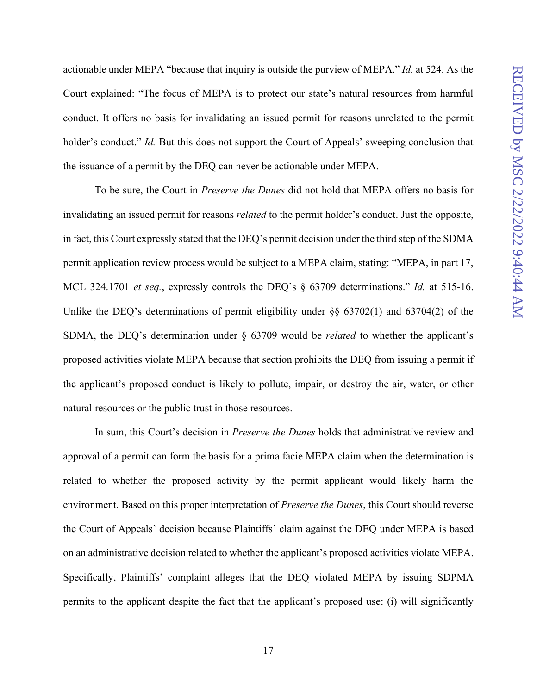actionable under MEPA "because that inquiry is outside the purview of MEPA." *Id.* at 524. As the Court explained: "The focus of MEPA is to protect our state's natural resources from harmful conduct. It offers no basis for invalidating an issued permit for reasons unrelated to the permit holder's conduct." *Id.* But this does not support the Court of Appeals' sweeping conclusion that the issuance of a permit by the DEQ can never be actionable under MEPA.

To be sure, the Court in *Preserve the Dunes* did not hold that MEPA offers no basis for invalidating an issued permit for reasons *related* to the permit holder's conduct. Just the opposite, in fact, this Court expressly stated that the DEQ's permit decision under the third step of the SDMA permit application review process would be subject to a MEPA claim, stating: "MEPA, in part 17, MCL 324.1701 *et seq.*, expressly controls the DEQ's § 63709 determinations." *Id.* at 515-16. Unlike the DEQ's determinations of permit eligibility under  $\S$ § 63702(1) and 63704(2) of the SDMA, the DEQ's determination under § 63709 would be *related* to whether the applicant's proposed activities violate MEPA because that section prohibits the DEQ from issuing a permit if the applicant's proposed conduct is likely to pollute, impair, or destroy the air, water, or other natural resources or the public trust in those resources.

In sum, this Court's decision in *Preserve the Dunes* holds that administrative review and approval of a permit can form the basis for a prima facie MEPA claim when the determination is related to whether the proposed activity by the permit applicant would likely harm the environment. Based on this proper interpretation of *Preserve the Dunes*, this Court should reverse the Court of Appeals' decision because Plaintiffs' claim against the DEQ under MEPA is based on an administrative decision related to whether the applicant's proposed activities violate MEPA. Specifically, Plaintiffs' complaint alleges that the DEQ violated MEPA by issuing SDPMA permits to the applicant despite the fact that the applicant's proposed use: (i) will significantly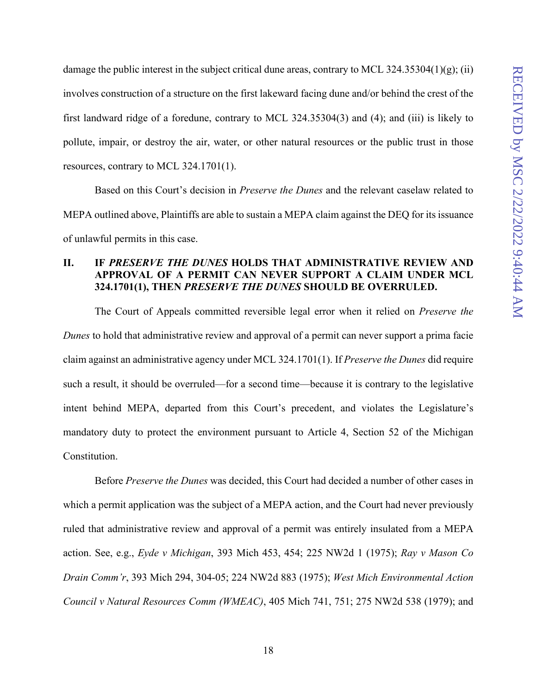damage the public interest in the subject critical dune areas, contrary to MCL 324.35304(1)(g); (ii) involves construction of a structure on the first lakeward facing dune and/or behind the crest of the first landward ridge of a foredune, contrary to MCL 324.35304(3) and (4); and (iii) is likely to pollute, impair, or destroy the air, water, or other natural resources or the public trust in those resources, contrary to MCL 324.1701(1).

Based on this Court's decision in *Preserve the Dunes* and the relevant caselaw related to MEPA outlined above, Plaintiffs are able to sustain a MEPA claim against the DEQ for its issuance of unlawful permits in this case.

## **II. IF** *PRESERVE THE DUNES* **HOLDS THAT ADMINISTRATIVE REVIEW AND APPROVAL OF A PERMIT CAN NEVER SUPPORT A CLAIM UNDER MCL 324.1701(1), THEN** *PRESERVE THE DUNES* **SHOULD BE OVERRULED.**

The Court of Appeals committed reversible legal error when it relied on *Preserve the Dunes* to hold that administrative review and approval of a permit can never support a prima facie claim against an administrative agency under MCL 324.1701(1). If *Preserve the Dunes* did require such a result, it should be overruled—for a second time—because it is contrary to the legislative intent behind MEPA, departed from this Court's precedent, and violates the Legislature's mandatory duty to protect the environment pursuant to Article 4, Section 52 of the Michigan Constitution.

Before *Preserve the Dunes* was decided, this Court had decided a number of other cases in which a permit application was the subject of a MEPA action, and the Court had never previously ruled that administrative review and approval of a permit was entirely insulated from a MEPA action. See, e.g., *Eyde v Michigan*, 393 Mich 453, 454; 225 NW2d 1 (1975); *Ray v Mason Co Drain Comm'r*, 393 Mich 294, 304-05; 224 NW2d 883 (1975); *West Mich Environmental Action Council v Natural Resources Comm (WMEAC)*, 405 Mich 741, 751; 275 NW2d 538 (1979); and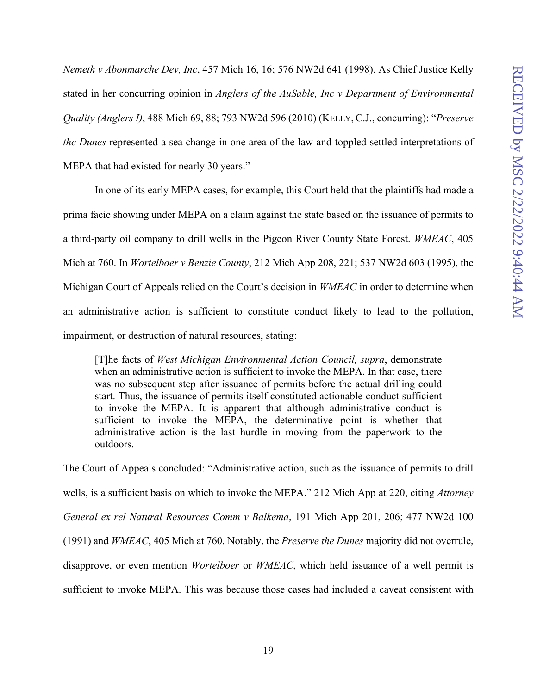*Nemeth v Abonmarche Dev, Inc*, 457 Mich 16, 16; 576 NW2d 641 (1998). As Chief Justice Kelly stated in her concurring opinion in *Anglers of the AuSable, Inc v Department of Environmental Quality (Anglers I)*, 488 Mich 69, 88; 793 NW2d 596 (2010) (KELLY, C.J., concurring): "*Preserve the Dunes* represented a sea change in one area of the law and toppled settled interpretations of MEPA that had existed for nearly 30 years."

In one of its early MEPA cases, for example, this Court held that the plaintiffs had made a prima facie showing under MEPA on a claim against the state based on the issuance of permits to a third-party oil company to drill wells in the Pigeon River County State Forest. *WMEAC*, 405 Mich at 760. In *Wortelboer v Benzie County*, 212 Mich App 208, 221; 537 NW2d 603 (1995), the Michigan Court of Appeals relied on the Court's decision in *WMEAC* in order to determine when an administrative action is sufficient to constitute conduct likely to lead to the pollution, impairment, or destruction of natural resources, stating:

[T]he facts of *West Michigan Environmental Action Council, supra*, demonstrate when an administrative action is sufficient to invoke the MEPA. In that case, there was no subsequent step after issuance of permits before the actual drilling could start. Thus, the issuance of permits itself constituted actionable conduct sufficient to invoke the MEPA. It is apparent that although administrative conduct is sufficient to invoke the MEPA, the determinative point is whether that administrative action is the last hurdle in moving from the paperwork to the outdoors.

The Court of Appeals concluded: "Administrative action, such as the issuance of permits to drill wells, is a sufficient basis on which to invoke the MEPA." 212 Mich App at 220, citing *Attorney General ex rel Natural Resources Comm v Balkema*, 191 Mich App 201, 206; 477 NW2d 100 (1991) and *WMEAC*, 405 Mich at 760. Notably, the *Preserve the Dunes* majority did not overrule, disapprove, or even mention *Wortelboer* or *WMEAC*, which held issuance of a well permit is sufficient to invoke MEPA. This was because those cases had included a caveat consistent with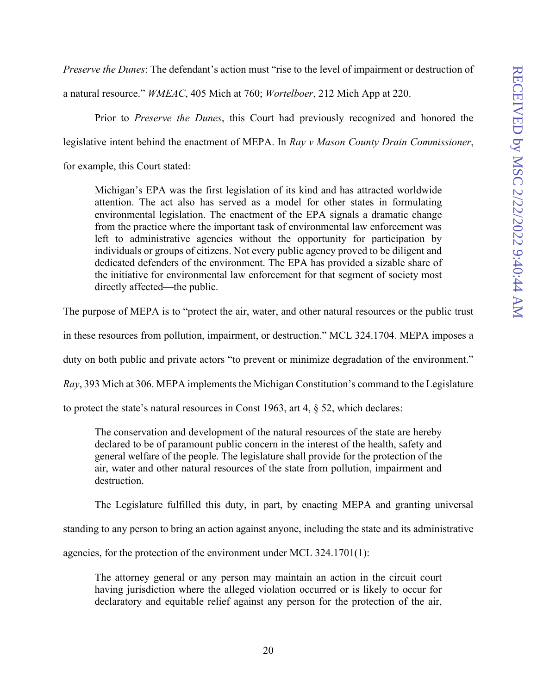*Preserve the Dunes*: The defendant's action must "rise to the level of impairment or destruction of

a natural resource." *WMEAC*, 405 Mich at 760; *Wortelboer*, 212 Mich App at 220.

Prior to *Preserve the Dunes*, this Court had previously recognized and honored the

legislative intent behind the enactment of MEPA. In *Ray v Mason County Drain Commissioner*,

for example, this Court stated:

Michigan's EPA was the first legislation of its kind and has attracted worldwide attention. The act also has served as a model for other states in formulating environmental legislation. The enactment of the EPA signals a dramatic change from the practice where the important task of environmental law enforcement was left to administrative agencies without the opportunity for participation by individuals or groups of citizens. Not every public agency proved to be diligent and dedicated defenders of the environment. The EPA has provided a sizable share of the initiative for environmental law enforcement for that segment of society most directly affected—the public.

The purpose of MEPA is to "protect the air, water, and other natural resources or the public trust

in these resources from pollution, impairment, or destruction." MCL 324.1704. MEPA imposes a

duty on both public and private actors "to prevent or minimize degradation of the environment."

*Ray*, 393 Mich at 306. MEPA implements the Michigan Constitution's command to the Legislature

to protect the state's natural resources in Const 1963, art 4, § 52, which declares:

The conservation and development of the natural resources of the state are hereby declared to be of paramount public concern in the interest of the health, safety and general welfare of the people. The legislature shall provide for the protection of the air, water and other natural resources of the state from pollution, impairment and destruction.

The Legislature fulfilled this duty, in part, by enacting MEPA and granting universal

standing to any person to bring an action against anyone, including the state and its administrative

agencies, for the protection of the environment under MCL 324.1701(1):

The attorney general or any person may maintain an action in the circuit court having jurisdiction where the alleged violation occurred or is likely to occur for declaratory and equitable relief against any person for the protection of the air,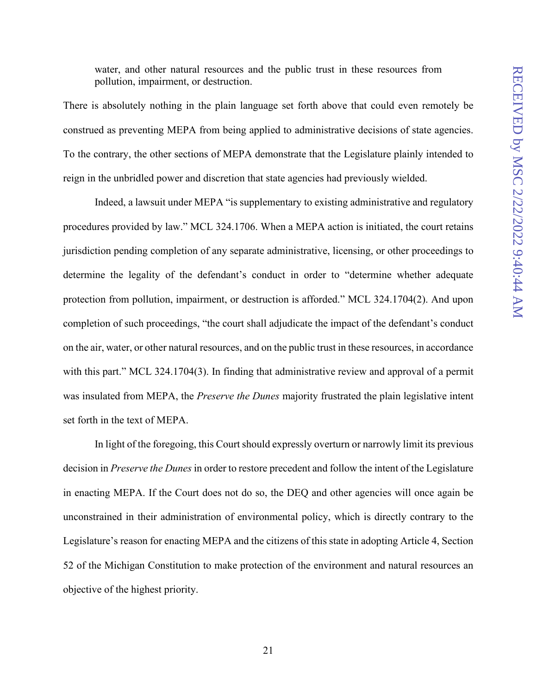water, and other natural resources and the public trust in these resources from pollution, impairment, or destruction.

There is absolutely nothing in the plain language set forth above that could even remotely be construed as preventing MEPA from being applied to administrative decisions of state agencies. To the contrary, the other sections of MEPA demonstrate that the Legislature plainly intended to reign in the unbridled power and discretion that state agencies had previously wielded.

Indeed, a lawsuit under MEPA "is supplementary to existing administrative and regulatory procedures provided by law." MCL 324.1706. When a MEPA action is initiated, the court retains jurisdiction pending completion of any separate administrative, licensing, or other proceedings to determine the legality of the defendant's conduct in order to "determine whether adequate protection from pollution, impairment, or destruction is afforded." MCL 324.1704(2). And upon completion of such proceedings, "the court shall adjudicate the impact of the defendant's conduct on the air, water, or other natural resources, and on the public trust in these resources, in accordance with this part." MCL 324.1704(3). In finding that administrative review and approval of a permit was insulated from MEPA, the *Preserve the Dunes* majority frustrated the plain legislative intent set forth in the text of MEPA.

In light of the foregoing, this Court should expressly overturn or narrowly limit its previous decision in *Preserve the Dunes* in order to restore precedent and follow the intent of the Legislature in enacting MEPA. If the Court does not do so, the DEQ and other agencies will once again be unconstrained in their administration of environmental policy, which is directly contrary to the Legislature's reason for enacting MEPA and the citizens of this state in adopting Article 4, Section 52 of the Michigan Constitution to make protection of the environment and natural resources an objective of the highest priority.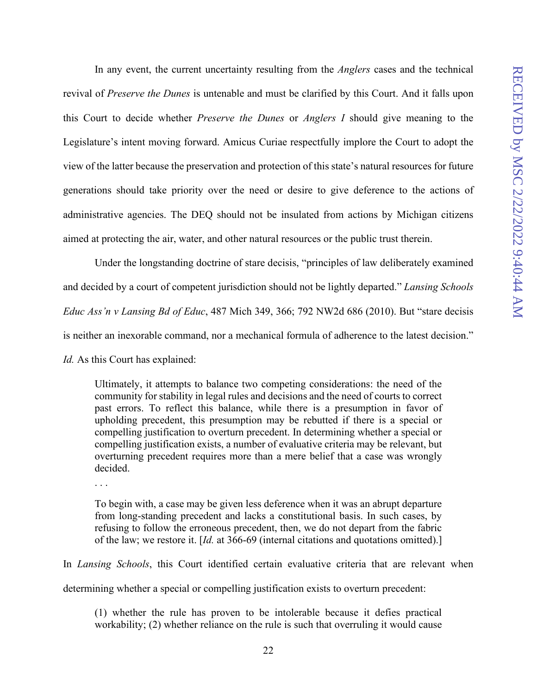In any event, the current uncertainty resulting from the *Anglers* cases and the technical revival of *Preserve the Dunes* is untenable and must be clarified by this Court. And it falls upon this Court to decide whether *Preserve the Dunes* or *Anglers I* should give meaning to the Legislature's intent moving forward. Amicus Curiae respectfully implore the Court to adopt the view of the latter because the preservation and protection of this state's natural resources for future generations should take priority over the need or desire to give deference to the actions of administrative agencies. The DEQ should not be insulated from actions by Michigan citizens aimed at protecting the air, water, and other natural resources or the public trust therein.

Under the longstanding doctrine of stare decisis, "principles of law deliberately examined and decided by a court of competent jurisdiction should not be lightly departed." *Lansing Schools Educ Ass'n v Lansing Bd of Educ*, 487 Mich 349, 366; 792 NW2d 686 (2010). But "stare decisis is neither an inexorable command, nor a mechanical formula of adherence to the latest decision." *Id.* As this Court has explained:

Ultimately, it attempts to balance two competing considerations: the need of the community for stability in legal rules and decisions and the need of courts to correct past errors. To reflect this balance, while there is a presumption in favor of upholding precedent, this presumption may be rebutted if there is a special or compelling justification to overturn precedent. In determining whether a special or compelling justification exists, a number of evaluative criteria may be relevant, but overturning precedent requires more than a mere belief that a case was wrongly decided.

. . .

To begin with, a case may be given less deference when it was an abrupt departure from long-standing precedent and lacks a constitutional basis. In such cases, by refusing to follow the erroneous precedent, then, we do not depart from the fabric of the law; we restore it. [*Id.* at 366-69 (internal citations and quotations omitted).]

In *Lansing Schools*, this Court identified certain evaluative criteria that are relevant when determining whether a special or compelling justification exists to overturn precedent:

(1) whether the rule has proven to be intolerable because it defies practical workability; (2) whether reliance on the rule is such that overruling it would cause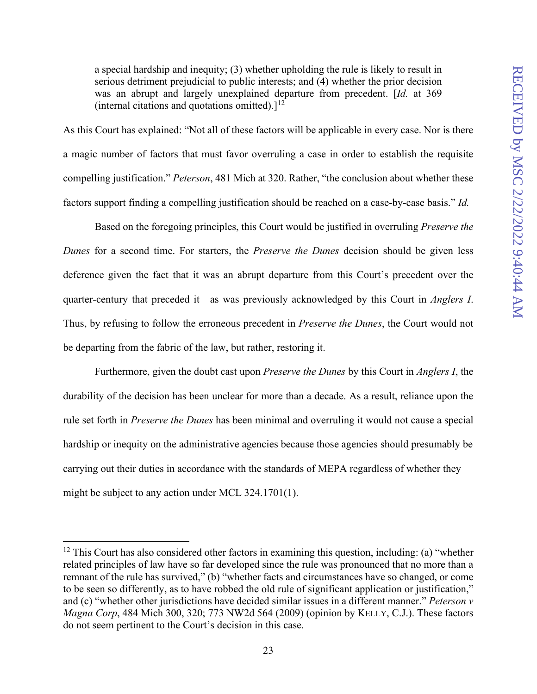a special hardship and inequity; (3) whether upholding the rule is likely to result in serious detriment prejudicial to public interests; and (4) whether the prior decision was an abrupt and largely unexplained departure from precedent. [*Id.* at 369 (internal citations and quotations omitted).] $<sup>12</sup>$  $<sup>12</sup>$  $<sup>12</sup>$ </sup>

As this Court has explained: "Not all of these factors will be applicable in every case. Nor is there a magic number of factors that must favor overruling a case in order to establish the requisite compelling justification." *Peterson*, 481 Mich at 320. Rather, "the conclusion about whether these factors support finding a compelling justification should be reached on a case-by-case basis." *Id.*

Based on the foregoing principles, this Court would be justified in overruling *Preserve the Dunes* for a second time. For starters, the *Preserve the Dunes* decision should be given less deference given the fact that it was an abrupt departure from this Court's precedent over the quarter-century that preceded it—as was previously acknowledged by this Court in *Anglers I*. Thus, by refusing to follow the erroneous precedent in *Preserve the Dunes*, the Court would not be departing from the fabric of the law, but rather, restoring it.

Furthermore, given the doubt cast upon *Preserve the Dunes* by this Court in *Anglers I*, the durability of the decision has been unclear for more than a decade. As a result, reliance upon the rule set forth in *Preserve the Dunes* has been minimal and overruling it would not cause a special hardship or inequity on the administrative agencies because those agencies should presumably be carrying out their duties in accordance with the standards of MEPA regardless of whether they might be subject to any action under MCL 324.1701(1).

<span id="page-27-0"></span> $12$  This Court has also considered other factors in examining this question, including: (a) "whether related principles of law have so far developed since the rule was pronounced that no more than a remnant of the rule has survived," (b) "whether facts and circumstances have so changed, or come to be seen so differently, as to have robbed the old rule of significant application or justification," and (c) "whether other jurisdictions have decided similar issues in a different manner." *Peterson v Magna Corp*, 484 Mich 300, 320; 773 NW2d 564 (2009) (opinion by KELLY, C.J.). These factors do not seem pertinent to the Court's decision in this case.